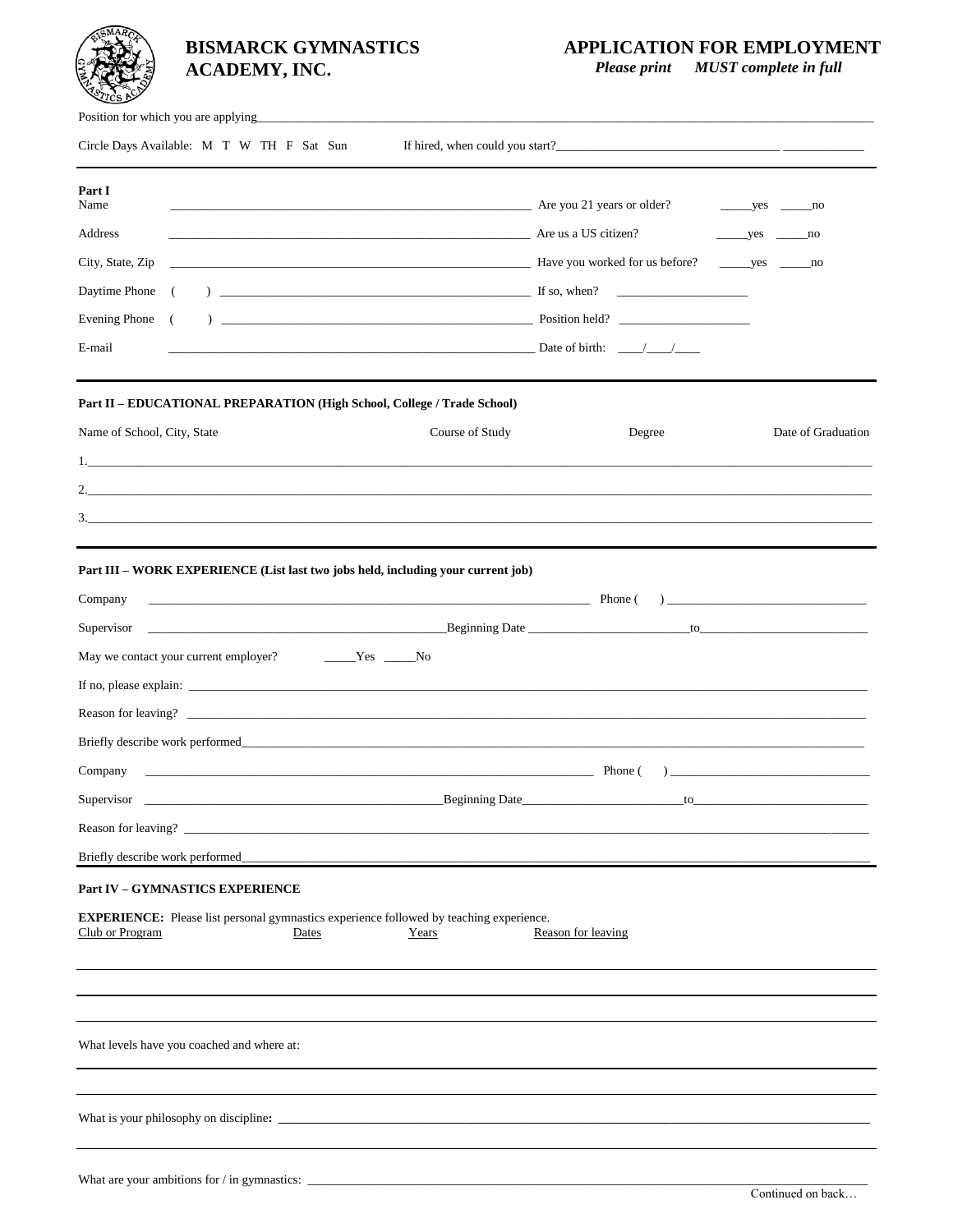# **BISMARCK GYMNASTICS ACADEMY, INC.**

## **APPLICATION FOR EMPLOYMENT**

 *Please print MUST complete in full*

| Position for which you are applying                                                                                                                                                                                                                                                                                                                                                                                                                                                                                                                                                                                                                                                                          |                    |                                |  |
|--------------------------------------------------------------------------------------------------------------------------------------------------------------------------------------------------------------------------------------------------------------------------------------------------------------------------------------------------------------------------------------------------------------------------------------------------------------------------------------------------------------------------------------------------------------------------------------------------------------------------------------------------------------------------------------------------------------|--------------------|--------------------------------|--|
| Circle Days Available: M T W TH F Sat Sun                                                                                                                                                                                                                                                                                                                                                                                                                                                                                                                                                                                                                                                                    |                    |                                |  |
| Part I<br>Name<br>Are you 21 years or older?<br>Are us a US citizen?<br>Address<br>The Have you worked for us before?<br>City, State, Zip<br>Daytime Phone (<br>Evening Phone (<br>$\overline{\phantom{a}}$ $\overline{\phantom{a}}$ $\overline{\phantom{a}}$ $\overline{\phantom{a}}$ $\overline{\phantom{a}}$ $\overline{\phantom{a}}$ $\overline{\phantom{a}}$ $\overline{\phantom{a}}$ $\overline{\phantom{a}}$ $\overline{\phantom{a}}$ $\overline{\phantom{a}}$ $\overline{\phantom{a}}$ $\overline{\phantom{a}}$ $\overline{\phantom{a}}$ $\overline{\phantom{a}}$ $\overline{\phantom{a}}$ $\overline{\phantom{a}}$ $\overline{\phantom{a}}$ $\overline{\$<br>E-mail<br>$\Box$ Date of birth: $\Box$ |                    | $yes$ no<br>$yes$ no<br>yes no |  |
| Part II - EDUCATIONAL PREPARATION (High School, College / Trade School)<br>Course of Study<br>Name of School, City, State<br>$\frac{3}{2}$                                                                                                                                                                                                                                                                                                                                                                                                                                                                                                                                                                   | Degree             | Date of Graduation             |  |
| Part III – WORK EXPERIENCE (List last two jobs held, including your current job)<br>$\overline{\phantom{a}}$ Phone ( ) $\overline{\phantom{a}}$ Phone ( ) $\overline{\phantom{a}}$<br>Company<br>May we contact your current employer?<br>$\rule{1em}{0.15mm}$ $\qquad \qquad$ $\qquad \text{No}$<br><u> Phone</u> (<br>Company<br>Supervisor<br>_Beginning Date_<br>Briefly describe work performed                                                                                                                                                                                                                                                                                                         | $f_{\Omega}$       |                                |  |
| <b>Part IV - GYMNASTICS EXPERIENCE</b><br><b>EXPERIENCE:</b> Please list personal gymnastics experience followed by teaching experience.<br>Club or Program<br>Dates<br>Years<br>What levels have you coached and where at:                                                                                                                                                                                                                                                                                                                                                                                                                                                                                  | Reason for leaving |                                |  |
| What are your ambitions for / in gymnastics: $\frac{1}{2}$ = $\frac{1}{2}$ = $\frac{1}{2}$ = $\frac{1}{2}$ = $\frac{1}{2}$ = $\frac{1}{2}$ = $\frac{1}{2}$ = $\frac{1}{2}$ = $\frac{1}{2}$ = $\frac{1}{2}$ = $\frac{1}{2}$ = $\frac{1}{2}$ = $\frac{1}{2}$ = $\frac{1}{2}$ = $\frac{1}{2}$                                                                                                                                                                                                                                                                                                                                                                                                                   |                    |                                |  |
|                                                                                                                                                                                                                                                                                                                                                                                                                                                                                                                                                                                                                                                                                                              |                    | Continued on back              |  |